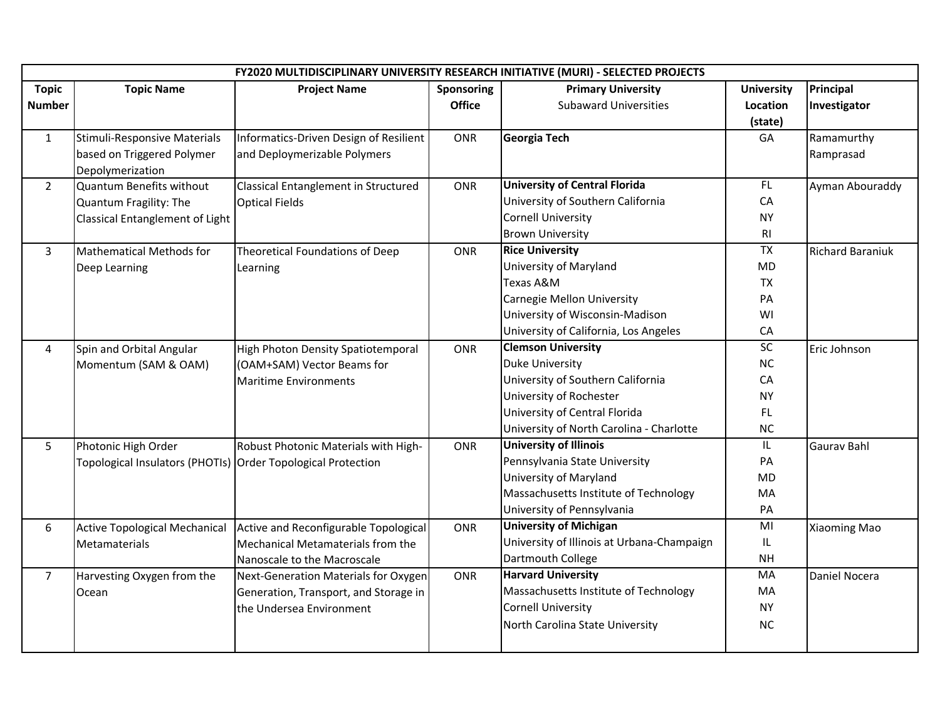|                | FY2020 MULTIDISCIPLINARY UNIVERSITY RESEARCH INITIATIVE (MURI) - SELECTED PROJECTS |                                        |               |                                            |                   |                         |  |
|----------------|------------------------------------------------------------------------------------|----------------------------------------|---------------|--------------------------------------------|-------------------|-------------------------|--|
| <b>Topic</b>   | <b>Topic Name</b>                                                                  | <b>Project Name</b>                    | Sponsoring    | <b>Primary University</b>                  | <b>University</b> | Principal               |  |
| <b>Number</b>  |                                                                                    |                                        | <b>Office</b> | <b>Subaward Universities</b>               | Location          | Investigator            |  |
|                |                                                                                    |                                        |               |                                            | (state)           |                         |  |
| $\mathbf{1}$   | Stimuli-Responsive Materials                                                       | Informatics-Driven Design of Resilient | ONR           | <b>Georgia Tech</b>                        | GA                | Ramamurthy              |  |
|                | based on Triggered Polymer                                                         | and Deploymerizable Polymers           |               |                                            |                   | Ramprasad               |  |
|                | Depolymerization                                                                   |                                        |               |                                            |                   |                         |  |
| $\overline{2}$ | Quantum Benefits without                                                           | Classical Entanglement in Structured   | ONR           | <b>University of Central Florida</b>       | FL.               | Ayman Abouraddy         |  |
|                | Quantum Fragility: The                                                             | <b>Optical Fields</b>                  |               | University of Southern California          | CA                |                         |  |
|                | Classical Entanglement of Light                                                    |                                        |               | <b>Cornell University</b>                  | <b>NY</b>         |                         |  |
|                |                                                                                    |                                        |               | <b>Brown University</b>                    | RI                |                         |  |
| $\mathbf{3}$   | <b>Mathematical Methods for</b>                                                    | Theoretical Foundations of Deep        | <b>ONR</b>    | <b>Rice University</b>                     | <b>TX</b>         | <b>Richard Baraniuk</b> |  |
|                | Deep Learning                                                                      | Learning                               |               | University of Maryland                     | <b>MD</b>         |                         |  |
|                |                                                                                    |                                        |               | Texas A&M                                  | <b>TX</b>         |                         |  |
|                |                                                                                    |                                        |               | Carnegie Mellon University                 | PA                |                         |  |
|                |                                                                                    |                                        |               | University of Wisconsin-Madison            | WI                |                         |  |
|                |                                                                                    |                                        |               | University of California, Los Angeles      | CA                |                         |  |
| 4              | Spin and Orbital Angular                                                           | High Photon Density Spatiotemporal     | <b>ONR</b>    | <b>Clemson University</b>                  | SC                | Eric Johnson            |  |
|                | Momentum (SAM & OAM)                                                               | (OAM+SAM) Vector Beams for             |               | <b>Duke University</b>                     | NC                |                         |  |
|                |                                                                                    | <b>Maritime Environments</b>           |               | University of Southern California          | CA                |                         |  |
|                |                                                                                    |                                        |               | University of Rochester                    | <b>NY</b>         |                         |  |
|                |                                                                                    |                                        |               | University of Central Florida              | FL.               |                         |  |
|                |                                                                                    |                                        |               | University of North Carolina - Charlotte   | NC                |                         |  |
| 5              | Photonic High Order                                                                | Robust Photonic Materials with High-   | <b>ONR</b>    | <b>University of Illinois</b>              | IL.               | Gaurav Bahl             |  |
|                | Topological Insulators (PHOTIs) Order Topological Protection                       |                                        |               | Pennsylvania State University              | PA                |                         |  |
|                |                                                                                    |                                        |               | University of Maryland                     | MD                |                         |  |
|                |                                                                                    |                                        |               | Massachusetts Institute of Technology      | MA                |                         |  |
|                |                                                                                    |                                        |               | University of Pennsylvania                 | PA                |                         |  |
| 6              | <b>Active Topological Mechanical</b>                                               | Active and Reconfigurable Topological  | ONR           | <b>University of Michigan</b>              | MI                | Xiaoming Mao            |  |
|                | Metamaterials                                                                      | Mechanical Metamaterials from the      |               | University of Illinois at Urbana-Champaign | IL.               |                         |  |
|                |                                                                                    | Nanoscale to the Macroscale            |               | Dartmouth College                          | <b>NH</b>         |                         |  |
| $\overline{7}$ | Harvesting Oxygen from the                                                         | Next-Generation Materials for Oxygen   | ONR           | <b>Harvard University</b>                  | MA                | <b>Daniel Nocera</b>    |  |
|                | Ocean                                                                              | Generation, Transport, and Storage in  |               | Massachusetts Institute of Technology      | MA                |                         |  |
|                |                                                                                    | the Undersea Environment               |               | <b>Cornell University</b>                  | <b>NY</b>         |                         |  |
|                |                                                                                    |                                        |               | North Carolina State University            | <b>NC</b>         |                         |  |
|                |                                                                                    |                                        |               |                                            |                   |                         |  |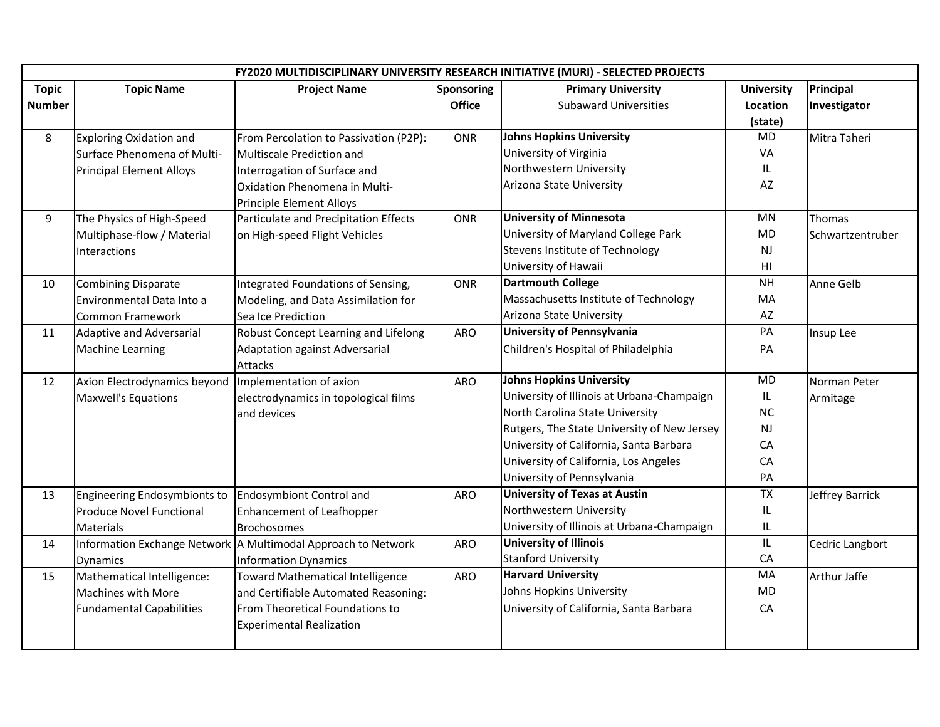| FY2020 MULTIDISCIPLINARY UNIVERSITY RESEARCH INITIATIVE (MURI) - SELECTED PROJECTS |                                 |                                                               |                   |                                             |                        |                  |
|------------------------------------------------------------------------------------|---------------------------------|---------------------------------------------------------------|-------------------|---------------------------------------------|------------------------|------------------|
| <b>Topic</b>                                                                       | <b>Topic Name</b>               | <b>Project Name</b>                                           | <b>Sponsoring</b> | <b>Primary University</b>                   | <b>University</b>      | Principal        |
| <b>Number</b>                                                                      |                                 |                                                               | <b>Office</b>     | <b>Subaward Universities</b>                | Location               | Investigator     |
|                                                                                    |                                 |                                                               |                   |                                             | (state)                |                  |
| 8                                                                                  | <b>Exploring Oxidation and</b>  | From Percolation to Passivation (P2P):                        | <b>ONR</b>        | <b>Johns Hopkins University</b>             | <b>MD</b>              | Mitra Taheri     |
|                                                                                    | Surface Phenomena of Multi-     | Multiscale Prediction and                                     |                   | University of Virginia                      | VA                     |                  |
|                                                                                    | <b>Principal Element Alloys</b> | Interrogation of Surface and                                  |                   | Northwestern University                     | IL                     |                  |
|                                                                                    |                                 | Oxidation Phenomena in Multi-                                 |                   | Arizona State University                    | AZ                     |                  |
|                                                                                    |                                 | Principle Element Alloys                                      |                   |                                             |                        |                  |
| 9                                                                                  | The Physics of High-Speed       | Particulate and Precipitation Effects                         | <b>ONR</b>        | <b>University of Minnesota</b>              | <b>MN</b>              | Thomas           |
|                                                                                    | Multiphase-flow / Material      | on High-speed Flight Vehicles                                 |                   | University of Maryland College Park         | MD.                    | Schwartzentruber |
|                                                                                    | Interactions                    |                                                               |                   | Stevens Institute of Technology             | <b>NJ</b>              |                  |
|                                                                                    |                                 |                                                               |                   | University of Hawaii                        | $\mathsf{H}\mathsf{I}$ |                  |
| 10                                                                                 | <b>Combining Disparate</b>      | Integrated Foundations of Sensing,                            | <b>ONR</b>        | <b>Dartmouth College</b>                    | <b>NH</b>              | Anne Gelb        |
|                                                                                    | Environmental Data Into a       | Modeling, and Data Assimilation for                           |                   | Massachusetts Institute of Technology       | MA                     |                  |
|                                                                                    | <b>Common Framework</b>         | Sea Ice Prediction                                            |                   | Arizona State University                    | AZ                     |                  |
| 11                                                                                 | <b>Adaptive and Adversarial</b> | Robust Concept Learning and Lifelong                          | ARO               | <b>University of Pennsylvania</b>           | PA                     | Insup Lee        |
|                                                                                    | <b>Machine Learning</b>         | Adaptation against Adversarial                                |                   | Children's Hospital of Philadelphia         | PA                     |                  |
|                                                                                    |                                 | Attacks                                                       |                   |                                             |                        |                  |
| 12                                                                                 | Axion Electrodynamics beyond    | Implementation of axion                                       | ARO               | <b>Johns Hopkins University</b>             | MD                     | Norman Peter     |
|                                                                                    | <b>Maxwell's Equations</b>      | electrodynamics in topological films                          |                   | University of Illinois at Urbana-Champaign  | IL                     | Armitage         |
|                                                                                    |                                 | and devices                                                   |                   | North Carolina State University             | <b>NC</b>              |                  |
|                                                                                    |                                 |                                                               |                   | Rutgers, The State University of New Jersey | NJ                     |                  |
|                                                                                    |                                 |                                                               |                   | University of California, Santa Barbara     | CA                     |                  |
|                                                                                    |                                 |                                                               |                   | University of California, Los Angeles       | CA                     |                  |
|                                                                                    |                                 |                                                               |                   | University of Pennsylvania                  | PA                     |                  |
| 13                                                                                 | Engineering Endosymbionts to    | Endosymbiont Control and                                      | <b>ARO</b>        | <b>University of Texas at Austin</b>        | <b>TX</b>              | Jeffrey Barrick  |
|                                                                                    | <b>Produce Novel Functional</b> | <b>Enhancement of Leafhopper</b>                              |                   | Northwestern University                     | IL                     |                  |
|                                                                                    | Materials                       | <b>Brochosomes</b>                                            |                   | University of Illinois at Urbana-Champaign  | IL.                    |                  |
| 14                                                                                 |                                 | Information Exchange Network A Multimodal Approach to Network | <b>ARO</b>        | <b>University of Illinois</b>               | IL.                    | Cedric Langbort  |
|                                                                                    | Dynamics                        | <b>Information Dynamics</b>                                   |                   | <b>Stanford University</b>                  | CA                     |                  |
| 15                                                                                 | Mathematical Intelligence:      | <b>Toward Mathematical Intelligence</b>                       | ARO               | <b>Harvard University</b>                   | MA                     | Arthur Jaffe     |
|                                                                                    | Machines with More              | and Certifiable Automated Reasoning:                          |                   | Johns Hopkins University                    | <b>MD</b>              |                  |
|                                                                                    | <b>Fundamental Capabilities</b> | From Theoretical Foundations to                               |                   | University of California, Santa Barbara     | CA                     |                  |
|                                                                                    |                                 | <b>Experimental Realization</b>                               |                   |                                             |                        |                  |
|                                                                                    |                                 |                                                               |                   |                                             |                        |                  |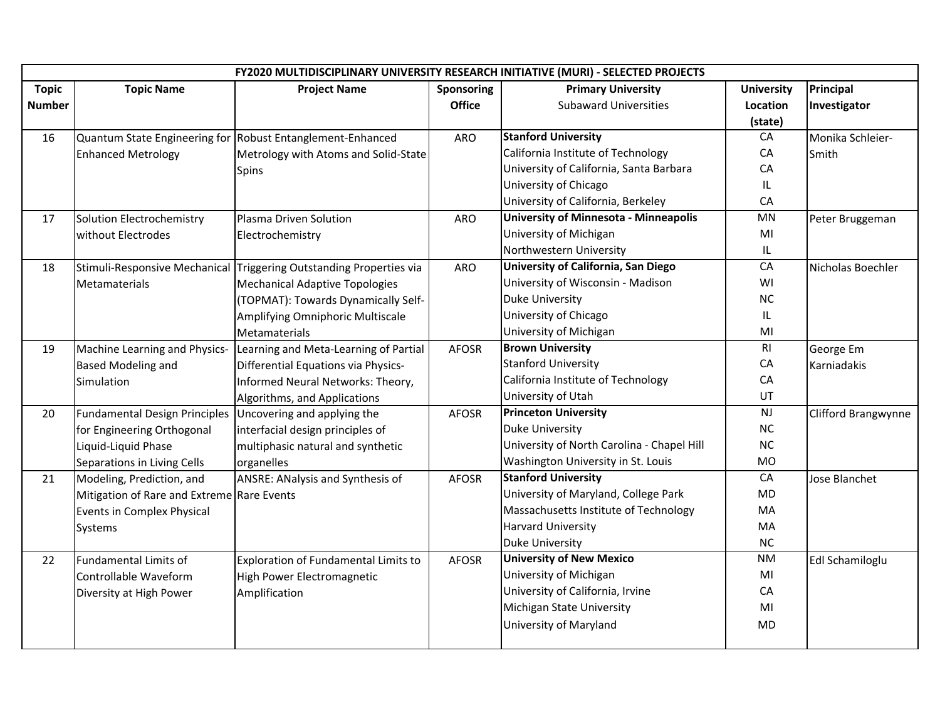|               | FY2020 MULTIDISCIPLINARY UNIVERSITY RESEARCH INITIATIVE (MURI) - SELECTED PROJECTS |                                                            |               |                                              |                   |                     |
|---------------|------------------------------------------------------------------------------------|------------------------------------------------------------|---------------|----------------------------------------------|-------------------|---------------------|
| <b>Topic</b>  | <b>Topic Name</b>                                                                  | <b>Project Name</b>                                        | Sponsoring    | <b>Primary University</b>                    | <b>University</b> | Principal           |
| <b>Number</b> |                                                                                    |                                                            | <b>Office</b> | <b>Subaward Universities</b>                 | Location          | Investigator        |
|               |                                                                                    |                                                            |               |                                              | (state)           |                     |
| 16            |                                                                                    | Quantum State Engineering for Robust Entanglement-Enhanced | <b>ARO</b>    | <b>Stanford University</b>                   | CA                | Monika Schleier-    |
|               | <b>Enhanced Metrology</b>                                                          | Metrology with Atoms and Solid-State                       |               | California Institute of Technology           | CA                | Smith               |
|               |                                                                                    | Spins                                                      |               | University of California, Santa Barbara      | CA                |                     |
|               |                                                                                    |                                                            |               | University of Chicago                        | IL.               |                     |
|               |                                                                                    |                                                            |               | University of California, Berkeley           | CA                |                     |
| 17            | Solution Electrochemistry                                                          | Plasma Driven Solution                                     | <b>ARO</b>    | <b>University of Minnesota - Minneapolis</b> | MN                | Peter Bruggeman     |
|               | without Electrodes                                                                 | Electrochemistry                                           |               | University of Michigan                       | MI                |                     |
|               |                                                                                    |                                                            |               | Northwestern University                      | IL.               |                     |
| 18            | Stimuli-Responsive Mechanical                                                      | Triggering Outstanding Properties via                      | <b>ARO</b>    | <b>University of California, San Diego</b>   | CA                | Nicholas Boechler   |
|               | Metamaterials                                                                      | <b>Mechanical Adaptive Topologies</b>                      |               | University of Wisconsin - Madison            | WI                |                     |
|               |                                                                                    | (TOPMAT): Towards Dynamically Self-                        |               | <b>Duke University</b>                       | <b>NC</b>         |                     |
|               |                                                                                    | Amplifying Omniphoric Multiscale                           |               | University of Chicago                        | IL.               |                     |
|               |                                                                                    | Metamaterials                                              |               | University of Michigan                       | MI                |                     |
| 19            | Machine Learning and Physics-                                                      | Learning and Meta-Learning of Partial                      | <b>AFOSR</b>  | <b>Brown University</b>                      | R <sub>l</sub>    | George Em           |
|               | <b>Based Modeling and</b>                                                          | Differential Equations via Physics-                        |               | <b>Stanford University</b>                   | CA                | Karniadakis         |
|               | Simulation                                                                         | Informed Neural Networks: Theory,                          |               | California Institute of Technology           | CA                |                     |
|               |                                                                                    | Algorithms, and Applications                               |               | University of Utah                           | UT                |                     |
| 20            | <b>Fundamental Design Principles</b>                                               | Uncovering and applying the                                | <b>AFOSR</b>  | <b>Princeton University</b>                  | NJ                | Clifford Brangwynne |
|               | for Engineering Orthogonal                                                         | interfacial design principles of                           |               | <b>Duke University</b>                       | <b>NC</b>         |                     |
|               | Liquid-Liquid Phase                                                                | multiphasic natural and synthetic                          |               | University of North Carolina - Chapel Hill   | NC                |                     |
|               | Separations in Living Cells                                                        | organelles                                                 |               | Washington University in St. Louis           | <b>MO</b>         |                     |
| 21            | Modeling, Prediction, and                                                          | ANSRE: ANalysis and Synthesis of                           | <b>AFOSR</b>  | <b>Stanford University</b>                   | CA                | Jose Blanchet       |
|               | Mitigation of Rare and Extreme Rare Events                                         |                                                            |               | University of Maryland, College Park         | <b>MD</b>         |                     |
|               | Events in Complex Physical                                                         |                                                            |               | Massachusetts Institute of Technology        | MA                |                     |
|               | Systems                                                                            |                                                            |               | <b>Harvard University</b>                    | MA                |                     |
|               |                                                                                    |                                                            |               | <b>Duke University</b>                       | <b>NC</b>         |                     |
| 22            | Fundamental Limits of                                                              | <b>Exploration of Fundamental Limits to</b>                | <b>AFOSR</b>  | <b>University of New Mexico</b>              | <b>NM</b>         | Edl Schamiloglu     |
|               | Controllable Waveform                                                              | High Power Electromagnetic                                 |               | University of Michigan                       | MI                |                     |
|               | Diversity at High Power                                                            | Amplification                                              |               | University of California, Irvine             | CA                |                     |
|               |                                                                                    |                                                            |               | Michigan State University                    | MI                |                     |
|               |                                                                                    |                                                            |               | University of Maryland                       | MD                |                     |
|               |                                                                                    |                                                            |               |                                              |                   |                     |